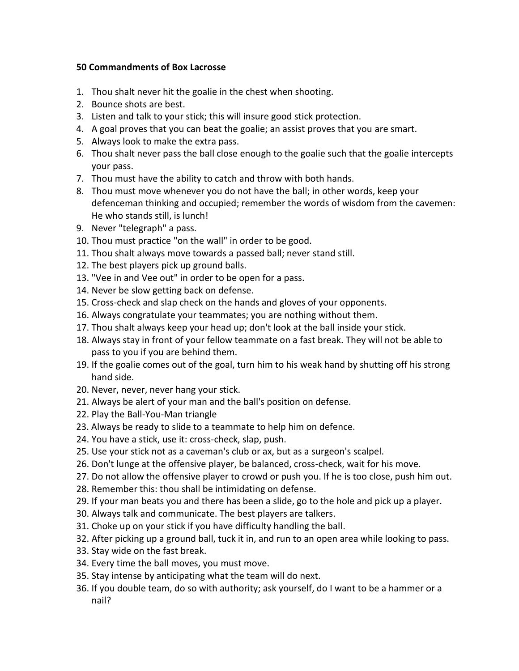## **50 Commandments of Box Lacrosse**

- 1. Thou shalt never hit the goalie in the chest when shooting.
- 2. Bounce shots are best.
- 3. Listen and talk to your stick; this will insure good stick protection.
- 4. A goal proves that you can beat the goalie; an assist proves that you are smart.
- 5. Always look to make the extra pass.
- 6. Thou shalt never pass the ball close enough to the goalie such that the goalie intercepts your pass.
- 7. Thou must have the ability to catch and throw with both hands.
- 8. Thou must move whenever you do not have the ball; in other words, keep your defenceman thinking and occupied; remember the words of wisdom from the cavemen: He who stands still, is lunch!
- 9. Never "telegraph" a pass.
- 10. Thou must practice "on the wall" in order to be good.
- 11. Thou shalt always move towards a passed ball; never stand still.
- 12. The best players pick up ground balls.
- 13. "Vee in and Vee out" in order to be open for a pass.
- 14. Never be slow getting back on defense.
- 15. Cross-check and slap check on the hands and gloves of your opponents.
- 16. Always congratulate your teammates; you are nothing without them.
- 17. Thou shalt always keep your head up; don't look at the ball inside your stick.
- 18. Always stay in front of your fellow teammate on a fast break. They will not be able to pass to you if you are behind them.
- 19. If the goalie comes out of the goal, turn him to his weak hand by shutting off his strong hand side.
- 20. Never, never, never hang your stick.
- 21. Always be alert of your man and the ball's position on defense.
- 22. Play the Ball-You-Man triangle
- 23. Always be ready to slide to a teammate to help him on defence.
- 24. You have a stick, use it: cross-check, slap, push.
- 25. Use your stick not as a caveman's club or ax, but as a surgeon's scalpel.
- 26. Don't lunge at the offensive player, be balanced, cross-check, wait for his move.
- 27. Do not allow the offensive player to crowd or push you. If he is too close, push him out.
- 28. Remember this: thou shall be intimidating on defense.
- 29. If your man beats you and there has been a slide, go to the hole and pick up a player.
- 30. Always talk and communicate. The best players are talkers.
- 31. Choke up on your stick if you have difficulty handling the ball.
- 32. After picking up a ground ball, tuck it in, and run to an open area while looking to pass.
- 33. Stay wide on the fast break.
- 34. Every time the ball moves, you must move.
- 35. Stay intense by anticipating what the team will do next.
- 36. If you double team, do so with authority; ask yourself, do I want to be a hammer or a nail?